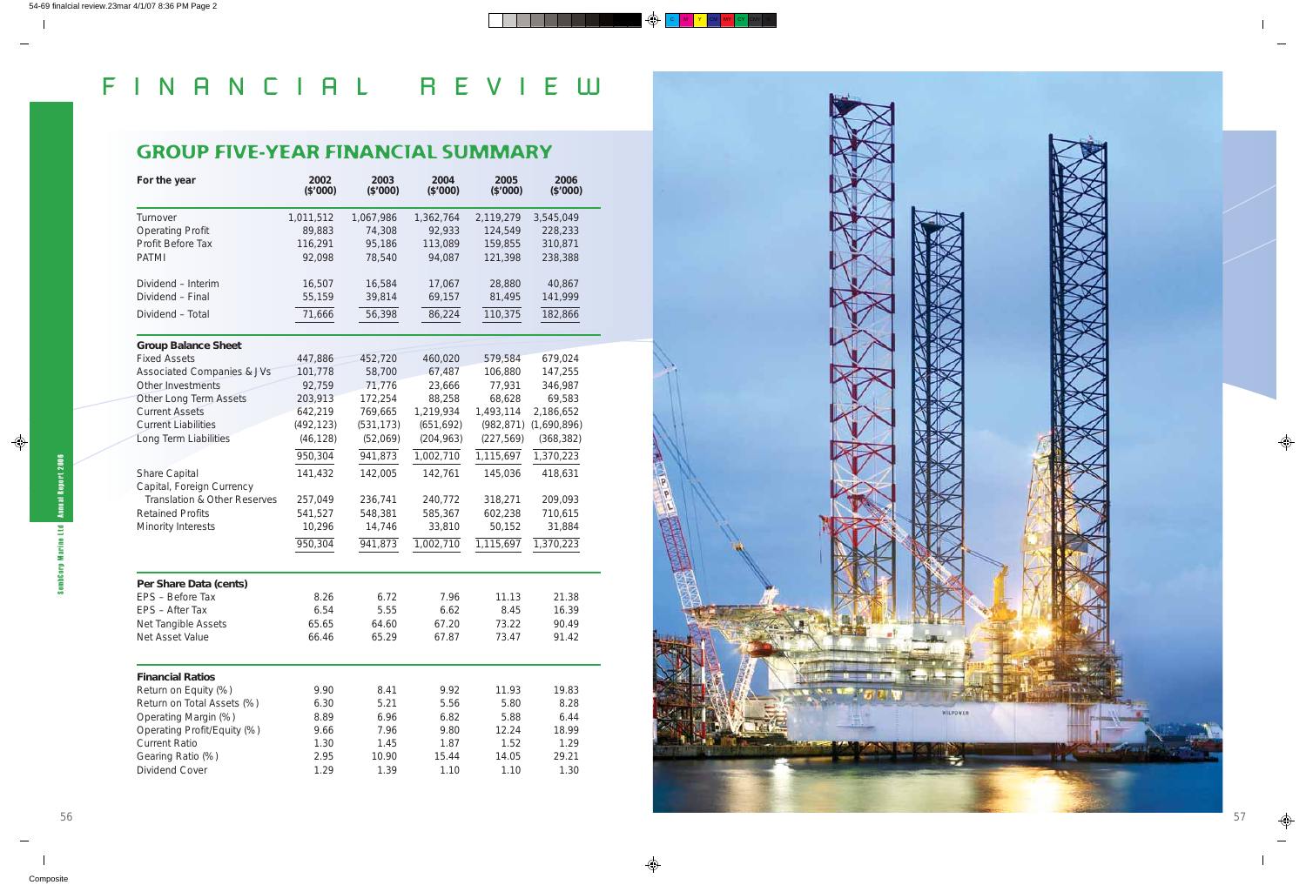# FINANCIAL REVIEW



### GROUP FIVE-YEAR FINANCIAL SUMMARY

| For the year                               | 2002<br>(\$'000) | 2003<br>(\$'000) | 2004<br>(\$'000) | 2005<br>(\$'000) | 2006<br>(\$'000) |
|--------------------------------------------|------------------|------------------|------------------|------------------|------------------|
| Turnover                                   | 1,011,512        | 1,067,986        | 1,362,764        | 2,119,279        | 3,545,049        |
| <b>Operating Profit</b>                    | 89,883           | 74,308           | 92,933           | 124,549          | 228,233          |
| Profit Before Tax                          | 116,291          | 95,186           | 113,089          | 159,855          | 310,871          |
| <b>PATMI</b>                               | 92,098           | 78,540           | 94,087           | 121,398          | 238,388          |
| Dividend - Interim                         | 16,507           | 16,584           | 17,067           | 28,880           | 40,867           |
| Dividend - Final                           | 55,159           | 39,814           | 69,157           | 81,495           | 141,999          |
| Dividend - Total                           | 71,666           | 56,398           | 86,224           | 110,375          | 182,866          |
| <b>Group Balance Sheet</b>                 |                  |                  |                  |                  |                  |
| <b>Fixed Assets</b>                        | 447,886          | 452,720          | 460,020          | 579,584          | 679,024          |
| <b>Associated Companies &amp; JVs</b>      | 101,778          | 58,700           | 67,487           | 106,880          | 147,255          |
| Other Investments                          | 92,759           | 71,776           | 23,666           | 77,931           | 346,987          |
| Other Long Term Assets                     | 203,913          | 172,254          | 88,258           | 68,628           | 69,583           |
| <b>Current Assets</b>                      | 642,219          | 769,665          | 1,219,934        | 1,493,114        | 2,186,652        |
| <b>Current Liabilities</b>                 | (492, 123)       | (531, 173)       | (651, 692)       | (982, 871)       | (1,690,896)      |
| Long Term Liabilities                      | (46, 128)        | (52,069)         | (204, 963)       | (227, 569)       | (368, 382)       |
|                                            | 950,304          | 941,873          | 1,002,710        | 1,115,697        | 1,370,223        |
| Share Capital<br>Capital, Foreign Currency | 141,432          | 142,005          | 142,761          | 145,036          | 418,631          |
| Translation & Other Reserves               | 257,049          | 236,741          | 240,772          | 318,271          | 209,093          |
| <b>Retained Profits</b>                    | 541,527          | 548,381          | 585,367          | 602,238          | 710,615          |
| Minority Interests                         | 10,296           | 14,746           | 33,810           | 50,152           | 31,884           |
|                                            | 950,304          | 941,873          | 1,002,710        | 1,115,697        | 1,370,223        |
|                                            |                  |                  |                  |                  |                  |
| Per Share Data (cents)                     |                  |                  |                  |                  |                  |
| EPS - Before Tax                           | 8.26             | 6.72             | 7.96             | 11.13            | 21.38            |
| EPS - After Tax                            | 6.54             | 5.55             | 6.62             | 8.45             | 16.39            |
| Net Tangible Assets                        | 65.65            | 64.60            | 67.20            | 73.22            | 90.49            |
| Net Asset Value                            | 66.46            | 65.29            | 67.87            | 73.47            | 91.42            |
| <b>Financial Ratios</b>                    |                  |                  |                  |                  |                  |
| Return on Equity (%)                       | 9.90             | 8.41             | 9.92             | 11.93            | 19.83            |
| Return on Total Assets (%)                 | 6.30             | 5.21             | 5.56             | 5.80             | 8.28             |
| Operating Margin (%)                       | 8.89             | 6.96             | 6.82             | 5.88             | 6.44             |
| Operating Profit/Equity (%)                | 9.66             | 7.96             | 9.80             | 12.24            | 18.99            |
| <b>Current Ratio</b>                       | 1.30             | 1.45             | 1.87             | 1.52             | 1.29             |
| Gearing Ratio (%)                          | 2.95             | 10.90            | 15.44            | 14.05            | 29.21            |
| Dividend Cover                             | 1.29             | 1.39             | 1.10             | 1.10             | 1.30             |